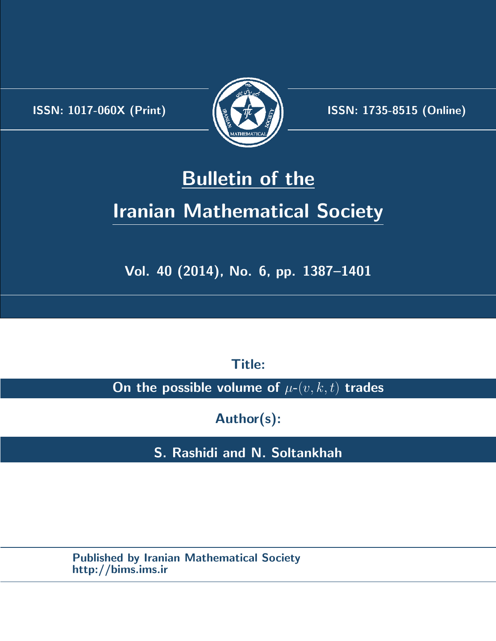.



**ISSN:** 1017-060X (Print)  $\left(\frac{1}{2}\right)\sqrt{\pi} \cdot \frac{1}{2}$  ISSN: 1735-8515 (Online)

# **Bulletin of the**

# **Iranian Mathematical Society**

**Vol. 40 (2014), No. 6, pp. 1387–1401**

**Title:** On the possible volume of  $\mu$ <sup>-</sup> $(v, k, t)$  trades

**Author(s):**

**S. Rashidi and N. Soltankhah**

**Published by Iranian Mathematical Society http://bims.ims.ir**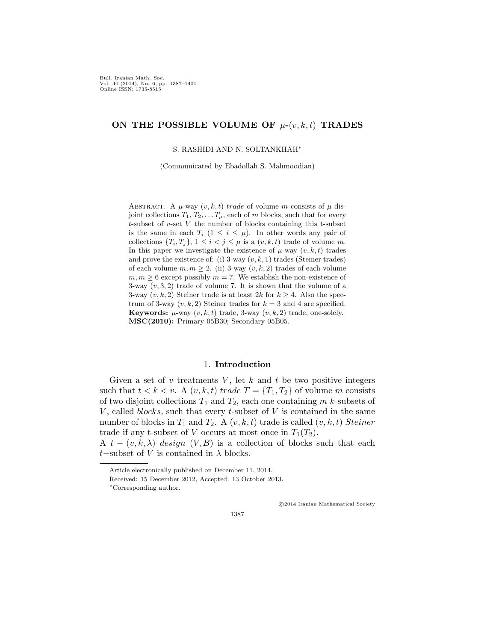# ON THE POSSIBLE VOLUME OF  $\mu$ <sup>-</sup>(*v*, *k*, *t*) **TRADES**

S. RASHIDI AND N. SOLTANKHAH*<sup>∗</sup>*

(Communicated by Ebadollah S. Mahmoodian)

ABSTRACT. A  $\mu$ -way  $(v, k, t)$  *trade* of volume *m* consists of  $\mu$  disjoint collections  $T_1, T_2, \ldots, T_\mu$ , each of *m* blocks, such that for every *t*-subset of *v*-set *V* the number of blocks containing this t-subset is the same in each  $T_i$  ( $1 \leq i \leq \mu$ ). In other words any pair of collections  ${T_i, T_j}$ ,  $1 \leq i < j \leq \mu$  is a  $(v, k, t)$  trade of volume *m*. In this paper we investigate the existence of  $\mu$ -way  $(v, k, t)$  trades and prove the existence of: (i)  $3$ -way  $(v, k, 1)$  trades (Steiner trades) of each volume  $m, m \geq 2$ . (ii) 3-way  $(v, k, 2)$  trades of each volume  $m, m \geq 6$  except possibly  $m = 7$ . We establish the non-existence of 3-way  $(v, 3, 2)$  trade of volume 7. It is shown that the volume of a 3-way  $(v, k, 2)$  Steiner trade is at least 2*k* for  $k \geq 4$ . Also the spectrum of 3-way  $(v, k, 2)$  Steiner trades for  $k = 3$  and 4 are specified. **Keywords:**  $\mu$ -way  $(v, k, t)$  trade, 3-way  $(v, k, 2)$  trade, one-solely. **MSC(2010):** Primary 05B30; Secondary 05B05.

### 1. **Introduction**

Given a set of *v* treatments *V* , let *k* and *t* be two positive integers such that  $t < k < v$ . A  $(v, k, t)$  *trade*  $T = \{T_1, T_2\}$  of volume *m* consists of two disjoint collections  $T_1$  and  $T_2$ , each one containing  $m$  k-subsets of *V* , called *blocks*, such that every *t*-subset of *V* is contained in the same number of blocks in  $T_1$  and  $T_2$ . A  $(v, k, t)$  trade is called  $(v, k, t)$  *Steiner* trade if any t-subset of *V* occurs at most once in  $T_1(T_2)$ .

A  $t - (v, k, \lambda)$  *design*  $(V, B)$  is a collection of blocks such that each *t*−subset of *V* is contained in  $\lambda$  blocks.

*⃝*c 2014 Iranian Mathematical Society

Article electronically published on December 11, 2014.

Received: 15 December 2012, Accepted: 13 October 2013.

*<sup>∗</sup>*Corresponding author.

<sup>1387</sup>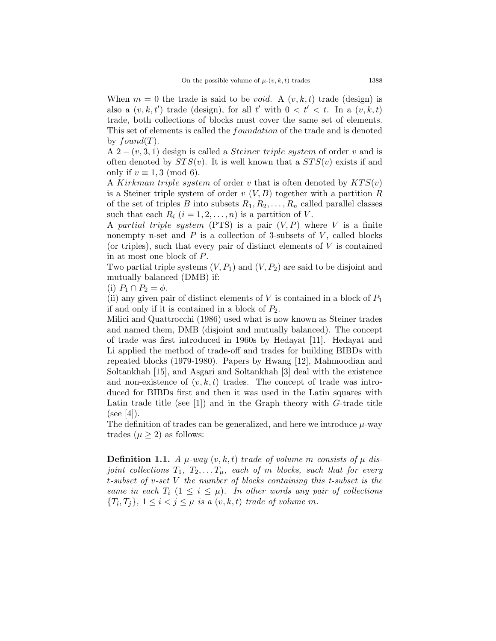When  $m = 0$  the trade is said to be *void*. A  $(v, k, t)$  trade (design) is also a  $(v, k, t')$  trade (design), for all  $t'$  with  $0 < t' < t$ . In a  $(v, k, t)$ trade, both collections of blocks must cover the same set of elements. This set of elements is called the *foundation* of the trade and is denoted by  $found(T)$ .

A 2 *−* (*v,* 3*,* 1) design is called a *Steiner triple system* of order *v* and is often denoted by  $STS(v)$ . It is well known that a  $STS(v)$  exists if and only if  $v \equiv 1, 3 \pmod{6}$ .

A *Kirkman triple system* of order *v* that is often denoted by *KT S*(*v*) is a Steiner triple system of order *v* (*V, B*) together with a partition *R* of the set of triples *B* into subsets  $R_1, R_2, \ldots, R_n$  called parallel classes such that each  $R_i$   $(i = 1, 2, \ldots, n)$  is a partition of *V*.

A *partial triple system* (PTS) is a pair (*V, P*) where *V* is a finite nonempty n-set and  $P$  is a collection of 3-subsets of  $V$ , called blocks (or triples), such that every pair of distinct elements of *V* is contained in at most one block of *P*.

Two partial triple systems (*V, P*1) and (*V, P*2) are said to be disjoint and mutually balanced (DMB) if:

 $(i)$   $P_1$  ∩  $P_2 = \phi$ .

(ii) any given pair of distinct elements of  $V$  is contained in a block of  $P_1$ if and only if it is contained in a block of *P*2.

Milici and Quattrocchi (1986) used what is now known as Steiner trades and named them, DMB (disjoint and mutually balanced). The concept of trade was first introduced in 1960s by Hedayat [[11](#page-15-0)]. Hedayat and Li applied the method of trade-off and trades for building BIBDs with repeated blocks (1979-1980). Papers by Hwang [[12\]](#page-15-1), Mahmoodian and Soltankhah [\[15](#page-15-2)], and Asgari and Soltankhah [\[3\]](#page-15-3) deal with the existence and non-existence of  $(v, k, t)$  trades. The concept of trade was introduced for BIBDs first and then it was used in the Latin squares with Latin trade title (see [[1](#page-14-0)]) and in the Graph theory with *G*-trade title  $(see [4]).$  $(see [4]).$  $(see [4]).$ 

The definition of trades can be generalized, and here we introduce  $\mu$ -way trades ( $\mu \geq 2$ ) as follows:

**Definition 1.1.** *A*  $\mu$ -way  $(v, k, t)$  *trade of volume m consists of*  $\mu$  *disjoint collections*  $T_1$ ,  $T_2$ ,  $\ldots$   $T_\mu$ , each of *m* blocks, such that for every *t-subset of v-set V the number of blocks containing this t-subset is the same in each*  $T_i$   $(1 \leq i \leq \mu)$ *. In other words any pair of collections*  $\{T_i, T_j\}$ ,  $1 \leq i < j \leq \mu$  *is a*  $(v, k, t)$  *trade of volume m.*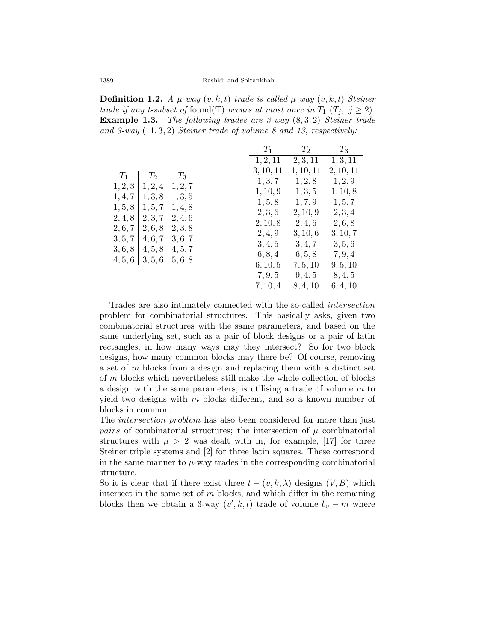<span id="page-3-0"></span>**Definition 1.2.** *A*  $\mu$ -way  $(v, k, t)$  trade is called  $\mu$ -way  $(v, k, t)$  Steiner *trade if any t-subset of found(T) occurs at most once in*  $T_1$  ( $T_j$ ,  $j \ge 2$ ). **Example 1.3.** *The following trades are 3-way* (8*,* 3*,* 2) *Steiner trade and 3-way* (11*,* 3*,* 2) *Steiner trade of volume 8 and 13, respectively:*

|         |         |         | $T_1$     | $T_2$     | $T_3$     |
|---------|---------|---------|-----------|-----------|-----------|
|         |         |         | 1, 2, 11  | 2, 3, 11  | 1, 3, 11  |
| $T_1$   | $T_2$   | $T_3$   | 3, 10, 11 | 1, 10, 11 | 2, 10, 11 |
| 1, 2, 3 | 1, 2, 4 | 1, 2, 7 | 1, 3, 7   | 1, 2, 8   | 1, 2, 9   |
|         |         |         | 1, 10, 9  | 1, 3, 5   | 1, 10, 8  |
| 1, 4, 7 | 1, 3, 8 | 1, 3, 5 | 1, 5, 8   | 1, 7, 9   | 1, 5, 7   |
| 1, 5, 8 | 1, 5, 7 | 1, 4, 8 | 2, 3, 6   | 2, 10, 9  | 2, 3, 4   |
| 2, 4, 8 | 2, 3, 7 | 2, 4, 6 | 2, 10, 8  | 2, 4, 6   | 2, 6, 8   |
| 2, 6, 7 | 2, 6, 8 | 2, 3, 8 | 2, 4, 9   | 3, 10, 6  | 3, 10, 7  |
| 3, 5, 7 | 4, 6, 7 | 3, 6, 7 | 3, 4, 5   | 3, 4, 7   | 3, 5, 6   |
| 3, 6, 8 | 4, 5, 8 | 4, 5, 7 | 6, 8, 4   | 6, 5, 8   | 7, 9, 4   |
| 4, 5, 6 | 3, 5, 6 | 5, 6, 8 |           |           |           |
|         |         |         | 6, 10, 5  | 7, 5, 10  | 9, 5, 10  |
|         |         |         | 7, 9, 5   | 9, 4, 5   | 8, 4, 5   |
|         |         |         | 7, 10, 4  | 8, 4, 10  | 6, 4, 10  |

Trades are also intimately connected with the so-called *intersection* problem for combinatorial structures. This basically asks, given two combinatorial structures with the same parameters, and based on the same underlying set, such as a pair of block designs or a pair of latin rectangles, in how many ways may they intersect? So for two block designs, how many common blocks may there be? Of course, removing a set of *m* blocks from a design and replacing them with a distinct set of *m* blocks which nevertheless still make the whole collection of blocks a design with the same parameters, is utilising a trade of volume *m* to yield two designs with *m* blocks different, and so a known number of blocks in common.

The *intersection problem* has also been considered for more than just *pairs* of combinatorial structures; the intersection of  $\mu$  combinatorial structures with  $\mu > 2$  was dealt with in, for example, [[17\]](#page-15-5) for three Steiner triple systems and [[2\]](#page-14-1) for three latin squares. These correspond in the same manner to  $\mu$ -way trades in the corresponding combinatorial structure.

So it is clear that if there exist three  $t - (v, k, \lambda)$  designs  $(V, B)$  which intersect in the same set of *m* blocks, and which differ in the remaining blocks then we obtain a 3-way  $(v', k, t)$  trade of volume  $b_v - m$  where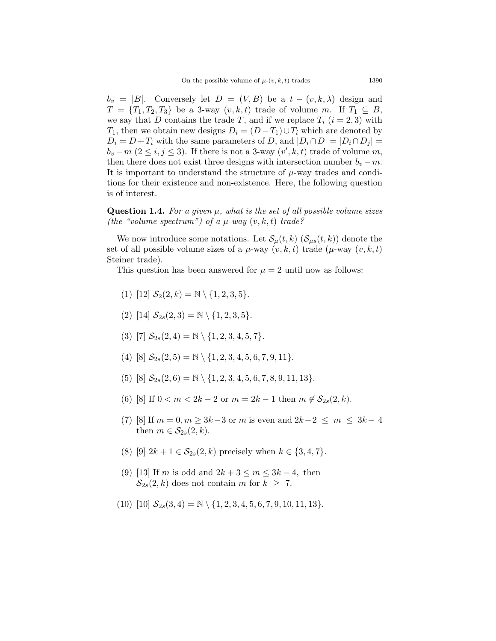$b_v = |B|$ . Conversely let  $D = (V, B)$  be a  $t - (v, k, \lambda)$  design and *T* =  ${T_1, T_2, T_3}$  be a 3-way  $(v, k, t)$  trade of volume *m*. If *T*<sub>1</sub> ⊆ *B*, we say that *D* contains the trade *T*, and if we replace  $T_i$  ( $i = 2, 3$ ) with *T*<sub>1</sub>, then we obtain new designs  $D_i = (D - T_1) \cup T_i$  which are denoted by  $D_i = D + T_i$  with the same parameters of *D*, and  $|D_i \cap D| = |D_i \cap D_j|$ *b*<sup>*v*</sup> − *m* (2 ≤ *i, j* ≤ 3). If there is not a 3-way (*v*<sup>'</sup>, *k*, *t*) trade of volume *m*, then there does not exist three designs with intersection number  $b_v - m$ . It is important to understand the structure of *µ*-way trades and conditions for their existence and non-existence. Here, the following question is of interest.

**Question 1.4.** *For a given µ, what is the set of all possible volume sizes (the "volume spectrum") of a*  $\mu$ *-way*  $(v, k, t)$  *trade?* 

We now introduce some notations. Let  $\mathcal{S}_{\mu}(t,k)$  ( $\mathcal{S}_{\mu}(t,k)$ ) denote the set of all possible volume sizes of a  $\mu$ -way  $(v, k, t)$  trade  $(\mu$ -way  $(v, k, t)$ Steiner trade).

This question has been answered for  $\mu = 2$  until now as follows:

- $(1)$  [\[12](#page-15-1)]  $S_2(2, k) = \mathbb{N} \setminus \{1, 2, 3, 5\}.$
- (2)  $[14]$  $[14]$   $S_{2s}(2,3) = \mathbb{N} \setminus \{1,2,3,5\}.$
- (3) [\[7\]](#page-15-7)  $S_{2s}(2,4) = \mathbb{N} \setminus \{1,2,3,4,5,7\}.$
- (4) [\[8\]](#page-15-8)  $S_{2s}(2,5) = \mathbb{N} \setminus \{1,2,3,4,5,6,7,9,11\}.$
- $(5)$   $[8]$   $S_{2s}(2,6) = \mathbb{N} \setminus \{1,2,3,4,5,6,7,8,9,11,13\}.$
- (6) [\[8\]](#page-15-8) If  $0 < m < 2k 2$  or  $m = 2k 1$  then  $m \notin \mathcal{S}_{2s}(2, k)$ .
- (7) [\[8\]](#page-15-8) If  $m = 0, m \ge 3k 3$  or  $m$  is even and  $2k 2 \le m \le 3k 4$ then  $m \in \mathcal{S}_{2s}(2,k)$ .
- (8) [\[9\]](#page-15-9)  $2k + 1 \in S_{2s}(2, k)$  precisely when  $k \in \{3, 4, 7\}$ .
- (9) [\[13](#page-15-10)] If *m* is odd and  $2k + 3 \le m \le 3k 4$ , then  $S_{2s}(2, k)$  does not contain *m* for  $k \geq 7$ .
- $(10)$   $[10]$  $[10]$   $S_{2s}(3,4) = \mathbb{N} \setminus \{1,2,3,4,5,6,7,9,10,11,13\}.$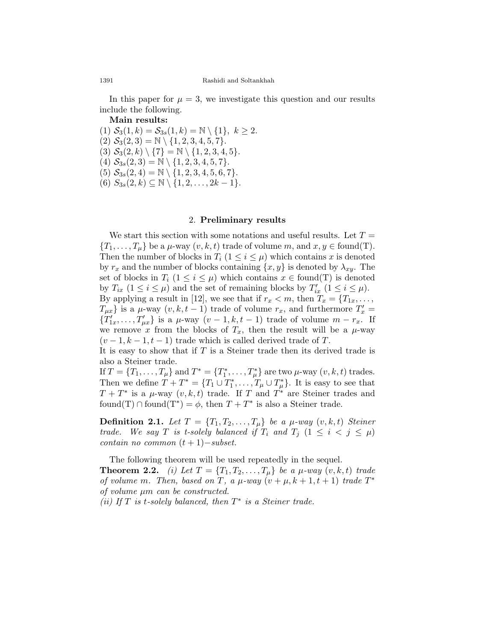In this paper for  $\mu = 3$ , we investigate this question and our results include the following.

**Main results:**

(1)  $S_3(1,k) = S_{3s}(1,k) = \mathbb{N} \setminus \{1\}, k \geq 2.$  $(2)$   $S_3(2,3) = \mathbb{N} \setminus \{1,2,3,4,5,7\}.$  $(S)$   $S_3(2, k) \setminus \{7\} = \mathbb{N} \setminus \{1, 2, 3, 4, 5\}.$  $(S)$   $S_{3s}(2,3) = N \setminus \{1,2,3,4,5,7\}.$  $(5)$   $S_{3s}(2,4) = \mathbb{N} \setminus \{1,2,3,4,5,6,7\}.$  $(6)$   $S_{3s}(2, k) \subseteq \mathbb{N} \setminus \{1, 2, \ldots, 2k - 1\}.$ 

#### 2. **Preliminary results**

We start this section with some notations and useful results. Let  $T =$  ${T_1, \ldots, T_u}$  be a *µ*-way  $(v, k, t)$  trade of volume *m*, and  $x, y \in \text{found}(T)$ . Then the number of blocks in  $T_i$  ( $1 \leq i \leq \mu$ ) which contains *x* is denoted by  $r_x$  and the number of blocks containing  $\{x, y\}$  is denoted by  $\lambda_{xy}$ . The set of blocks in  $T_i$   $(1 \leq i \leq \mu)$  which contains  $x \in$  found(T) is denoted by  $T_{ix}$  ( $1 \leq i \leq \mu$ ) and the set of remaining blocks by  $T'_{ix}$  ( $1 \leq i \leq \mu$ ). By applying a result in [[12\]](#page-15-1), we see that if  $r_x < m$ , then  $T_x = \{T_{1x}, \ldots,$ 

 $T_{\mu x}$ } is a  $\mu$ -way  $(v, k, t - 1)$  trade of volume  $r_x$ , and furthermore  $T'_x =$  $\{T'_{1x}, \ldots, T'_{\mu x}\}\$ is a  $\mu$ -way  $(v-1, k, t-1)$  trade of volume  $m - r_x$ . If we remove x from the blocks of  $T_x$ , then the result will be a  $\mu$ -way  $(v-1, k-1, t-1)$  trade which is called derived trade of *T*.

It is easy to show that if *T* is a Steiner trade then its derived trade is also a Steiner trade.

If  $T = \{T_1, \ldots, T_{\mu}\}$  and  $T^* = \{T_1^*, \ldots, T_{\mu}^*\}$  are two  $\mu$ -way  $(v, k, t)$  trades. Then we define  $T + T^* = \{T_1 \cup T_1^*, \ldots, T_\mu \cup T_\mu^*\}$ . It is easy to see that  $T + T^*$  is a  $\mu$ -way  $(v, k, t)$  trade. If *T* and  $T^*$  are Steiner trades and found(T)  $\cap$  found(T<sup>\*</sup>) =  $\phi$ , then  $T + T^*$  is also a Steiner trade.

**Definition 2.1.** Let  $T = \{T_1, T_2, \ldots, T_\mu\}$  be a  $\mu$ -way  $(v, k, t)$  Steiner *trade.* We say *T* is *t*-solely balanced if  $T_i$  and  $T_j$  ( $1 \leq i \leq j \leq \mu$ )  $contain\ no\ common\ (t+1)-subset.$ 

<span id="page-5-0"></span>The following theorem will be used repeatedly in the sequel. **Theorem 2.2.** *(i)* Let  $T = \{T_1, T_2, \ldots, T_{\mu}\}$  be a  $\mu$ -way  $(v, k, t)$  trade *of volume m.* Then, based on T, a  $\mu$ -way  $(v + \mu, k + 1, t + 1)$  trade  $T^*$ *of volume µm can be constructed.*

*(ii)* If  $T$  *is*  $t$ -solely balanced, then  $T^*$  *is a Steiner trade.*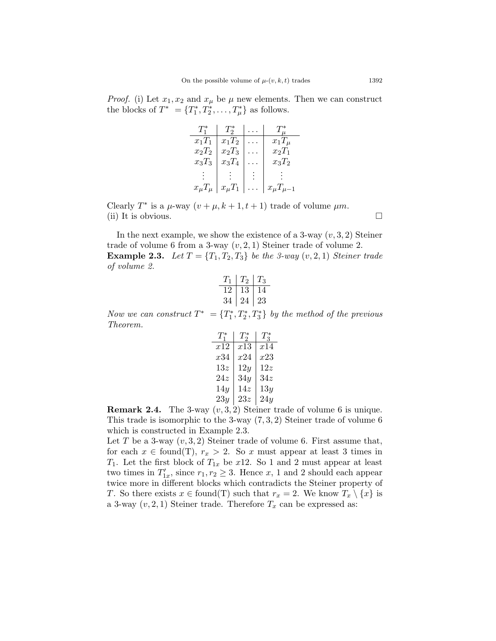*Proof.* (i) Let  $x_1, x_2$  and  $x_\mu$  be  $\mu$  new elements. Then we can construct the blocks of  $T^* = \{T_1^*, T_2^*, \ldots, T_{\mu}^*\}$  as follows.

| $T^*_1$       | $T_2^*$     | $T_\mu^*$          |
|---------------|-------------|--------------------|
| $x_1T_1$      | $x_1T_2$    | $x_1T_\mu$         |
| $x_2T_2$      | $x_2T_3$    | $x_2T_1$           |
| $x_3T_3$      | $x_3T_4$    | $x_3T_2$           |
|               |             |                    |
| $x_\mu T_\mu$ | $x_\mu T_1$ | $x_{\mu}T_{\mu-1}$ |

Clearly  $T^*$  is a  $\mu$ -way  $(v + \mu, k + 1, t + 1)$  trade of volume  $\mu m$ . (ii) It is obvious.  $\Box$ 

<span id="page-6-0"></span>In the next example, we show the existence of a  $3$ -way  $(v, 3, 2)$  Steiner trade of volume 6 from a 3-way (*v,* 2*,* 1) Steiner trade of volume 2. **Example 2.3.** *Let*  $T = \{T_1, T_2, T_3\}$  *be the 3-way*  $(v, 2, 1)$  *Steiner trade of volume 2.*

| Ί'n | $T_2$ | $\tau_3$ |
|-----|-------|----------|
| 12  | 13    | 14       |
| 34  | 24    | 23       |

*Now we can construct*  $T^* = \{T_1^*, T_2^*, T_3^*\}$  *by the method of the previous Theorem.*

| $T_{1}^{\ast}$ | $T_2^*$ | $T_3^*$     |
|----------------|---------|-------------|
| x12            | x13     | x14         |
| x34            | x24     | x23         |
| 13z            | 12y     | 12z         |
| 24z            | 34y     | 34 <i>z</i> |
| 14y            | 14z     | 13y         |
| 23y            | 23z     | 24y         |
|                |         |             |

**Remark 2.4.** The 3-way (*v,* 3*,* 2) Steiner trade of volume 6 is unique. This trade is isomorphic to the 3-way (7*,* 3*,* 2) Steiner trade of volume 6 which is constructed in Example [2.3](#page-6-0).

Let *T* be a 3-way  $(v, 3, 2)$  Steiner trade of volume 6. First assume that, for each  $x \in$  found(T),  $r_x > 2$ . So  $x$  must appear at least 3 times in *T*<sub>1</sub>. Let the first block of  $T_{1x}$  be *x*12. So 1 and 2 must appear at least two times in  $T'_{1x}$ , since  $r_1, r_2 \geq 3$ . Hence *x*, 1 and 2 should each appear twice more in different blocks which contradicts the Steiner property of *T*. So there exists  $x \in \text{found}(T)$  such that  $r_x = 2$ . We know  $T_x \setminus \{x\}$  is a 3-way  $(v, 2, 1)$  Steiner trade. Therefore  $T_x$  can be expressed as: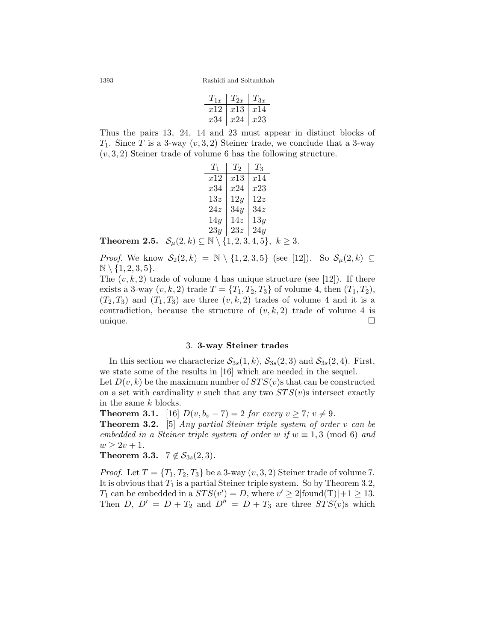1393 Rashidi and Soltankhah

$$
\begin{array}{c|c|c}\nT_{1x} & T_{2x} & T_{3x} \\
\hline\nx12 & x13 & x14 \\
x34 & x24 & x23\n\end{array}
$$

Thus the pairs 13*,* 24*,* 14 and 23 must appear in distinct blocks of *T*<sub>1</sub>. Since *T* is a 3-way  $(v, 3, 2)$  Steiner trade, we conclude that a 3-way (*v,* 3*,* 2) Steiner trade of volume 6 has the following structure.

| T1   | Тž  | $T_3$ |
|------|-----|-------|
| x12  | x13 | x14   |
| x34  | x24 | x23   |
| 13z  | 12y | 12z   |
| 24 z | 34y | 34z   |
| 14y  | 14z | 13y   |
| 23y  | 23z | 24y   |

<span id="page-7-2"></span>**Theorem 2.5.**  $S_\mu(2,k) \subseteq \mathbb{N} \setminus \{1,2,3,4,5\}, k \geq 3.$ 

*Proof.* We know  $S_2(2, k) = \mathbb{N} \setminus \{1, 2, 3, 5\}$  (see [[12\]](#page-15-1)). So  $S_u(2, k) \subseteq$ N *\ {*1*,* 2*,* 3*,* 5*}*.

The  $(v, k, 2)$  trade of volume 4 has unique structure (see [[12\]](#page-15-1)). If there exists a 3-way  $(v, k, 2)$  trade  $T = \{T_1, T_2, T_3\}$  of volume 4, then  $(T_1, T_2)$ ,  $(T_2, T_3)$  and  $(T_1, T_3)$  are three  $(v, k, 2)$  trades of volume 4 and it is a contradiction, because the structure of  $(v, k, 2)$  trade of volume 4 is unique.  $\Box$ 

#### 3. **3-way Steiner trades**

In this section we characterize  $S_{3s}(1, k)$ ,  $S_{3s}(2, 3)$  and  $S_{3s}(2, 4)$ . First, we state some of the results in [[16\]](#page-15-12) which are needed in the sequel. Let  $D(v, k)$  be the maximum number of  $STS(v)$ s that can be constructed on a set with cardinality *v* such that any two *ST S*(*v*)s intersect exactly in the same *k* blocks.

<span id="page-7-1"></span>**Theorem 3.1.** [[16\]](#page-15-12)  $D(v, b_v - 7) = 2$  *for every*  $v \ge 7$ *;*  $v \ne 9$ *.* 

<span id="page-7-0"></span>**Theorem 3.2.** [\[5\]](#page-15-13) *Any partial Steiner triple system of order v can be embedded in a Steiner triple system of order*  $w$  *if*  $w \equiv 1,3 \pmod{6}$  and  $w \geq 2v + 1$ .

<span id="page-7-3"></span>**Theorem 3.3.**  $7 \notin S_{3s}(2,3)$ *.* 

*Proof.* Let  $T = \{T_1, T_2, T_3\}$  be a 3-way  $(v, 3, 2)$  Steiner trade of volume 7. It is obvious that  $T_1$  is a partial Steiner triple system. So by Theorem [3.2](#page-7-0), *T*<sub>1</sub> can be embedded in a  $STS(v') = D$ , where  $v' \geq 2$  [found(T)|+1  $\geq 13$ . Then *D*,  $D' = D + T_2$  and  $D'' = D + T_3$  are three  $\overline{STS}(v)$ s which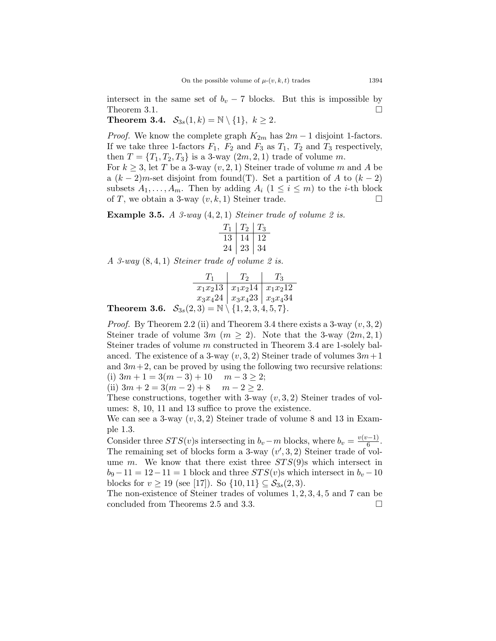intersect in the same set of  $b<sub>v</sub>$  − 7 blocks. But this is impossible by Theorem [3.1](#page-7-1).  $\Box$ 

<span id="page-8-0"></span>**Theorem 3.4.**  $S_{3s}(1,k) = \mathbb{N} \setminus \{1\}, k \geq 2$ .

*Proof.* We know the complete graph  $K_{2m}$  has  $2m-1$  disjoint 1-factors. If we take three 1-factors  $F_1$ ,  $F_2$  and  $F_3$  as  $T_1$ ,  $T_2$  and  $T_3$  respectively, then  $T = \{T_1, T_2, T_3\}$  is a 3-way  $(2m, 2, 1)$  trade of volume m.

For  $k \geq 3$ , let *T* be a 3-way  $(v, 2, 1)$  Steiner trade of volume *m* and *A* be a  $(k-2)m$ -set disjoint from found(T). Set a partition of *A* to  $(k-2)$ subsets  $A_1, \ldots, A_m$ . Then by adding  $A_i$  ( $1 \leq i \leq m$ ) to the *i*-th block of *T*, we obtain a 3-way  $(v, k, 1)$  Steiner trade.  $\Box$ 

**Example 3.5.** *A 3-way* (4*,* 2*,* 1) *Steiner trade of volume 2 is.*

|    | 1 <sub>2</sub> | $T_{3}$ |
|----|----------------|---------|
| 13 | 4              | י ו     |
| 24 | 23             | 34      |

*A 3-way* (8*,* 4*,* 1) *Steiner trade of volume 2 is.*

| Ίì                                                            | $T_2$                                  | $T_3$                                                   |
|---------------------------------------------------------------|----------------------------------------|---------------------------------------------------------|
|                                                               | $x_1x_213 \mid x_1x_214 \mid x_1x_212$ |                                                         |
|                                                               | $x_3x_424   x_3x_423   x_3x_434$       |                                                         |
| $\mathbb{R}$ $\mathbb{R}$ $\mathbb{R}$ $\mathbb{R}$<br>$\sim$ | <u>ദേര വ</u>                           | $\rightarrow$ $\rightarrow$ $\rightarrow$ $\rightarrow$ |

<span id="page-8-1"></span>**Theorem 3.6.**  $S_{3s}(2,3) = \mathbb{N} \setminus \{1,2,3,4,5,7\}$ .

*Proof.* By Theorem [2.2](#page-5-0) (ii) and Theorem [3.4](#page-8-0) there exists a 3-way  $(v, 3, 2)$ Steiner trade of volume  $3m$  ( $m > 2$ ). Note that the 3-way ( $2m, 2, 1$ ) Steiner trades of volume *m* constructed in Theorem [3.4](#page-8-0) are 1-solely balanced. The existence of a 3-way  $(v, 3, 2)$  Steiner trade of volumes  $3m+1$ and  $3m+2$ , can be proved by using the following two recursive relations:  $(i)$  3*m* + 1 = 3(*m* − 3) + 10 *m* − 3 ≥ 2;

(ii)  $3m + 2 = 3(m - 2) + 8$   $m - 2 \ge 2$ .

These constructions, together with 3-way (*v,* 3*,* 2) Steiner trades of volumes: 8, 10, 11 and 13 suffice to prove the existence.

We can see a 3-way  $(v, 3, 2)$  Steiner trade of volume 8 and 13 in Example [1.3.](#page-3-0)

Consider three  $STS(v)$ s intersecting in  $b_v - m$  blocks, where  $b_v = \frac{v(v-1)}{6}$ . The remaining set of blocks form a 3-way  $(v', 3, 2)$  Steiner trade of volume *m*. We know that there exist three *ST S*(9)s which intersect in  $b_9 - 11 = 12 - 11 = 1$  block and three *STS*(*v*)s which intersect in  $b_v - 10$ blocks for *v* ≥ 19 (see [[17](#page-15-5)]). So  $\{10, 11\} \subseteq S_{3s}(2, 3)$ .

The non-existence of Steiner trades of volumes 1*,* 2*,* 3*,* 4*,* 5 and 7 can be concluded from Theorems [2.5](#page-7-2) and [3.3.](#page-7-3)  $\Box$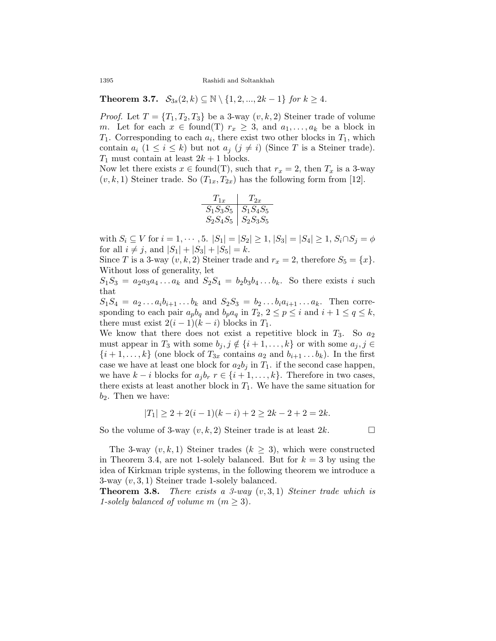<span id="page-9-0"></span>**Theorem 3.7.**  $S_{3s}(2, k) \subseteq \mathbb{N} \setminus \{1, 2, ..., 2k - 1\}$  *for*  $k \geq 4$ *.* 

*Proof.* Let  $T = \{T_1, T_2, T_3\}$  be a 3-way  $(v, k, 2)$  Steiner trade of volume *m*. Let for each  $x \in$  found(T)  $r_x \geq 3$ , and  $a_1, \ldots, a_k$  be a block in  $T_1$ . Corresponding to each  $a_i$ , there exist two other blocks in  $T_1$ , which contain  $a_i$   $(1 \leq i \leq k)$  but not  $a_j$   $(j \neq i)$  (Since *T* is a Steiner trade).  $T_1$  must contain at least  $2k + 1$  blocks.

Now let there exists  $x \in$  found(T), such that  $r_x = 2$ , then  $T_x$  is a 3-way  $(v, k, 1)$  Steiner trade. So  $(T_{1x}, T_{2x})$  has the following form from [[12](#page-15-1)].

$$
\begin{array}{c|c|c}\nT_{1x} & T_{2x} \\
\hline\nS_1S_3S_5 & S_1S_4S_5 \\
S_2S_4S_5 & S_2S_3S_5\n\end{array}
$$

with  $S_i \subseteq V$  for  $i = 1, \dots, 5$ .  $|S_1| = |S_2| \ge 1, |S_3| = |S_4| \ge 1, S_i \cap S_i = \phi$ for all  $i \neq j$ , and  $|S_1| + |S_3| + |S_5| = k$ .

Since *T* is a 3-way  $(v, k, 2)$  Steiner trade and  $r_x = 2$ , therefore  $S_5 = \{x\}$ . Without loss of generality, let

 $S_1S_3 = a_2a_3a_4 \ldots a_k$  and  $S_2S_4 = b_2b_3b_4 \ldots b_k$ . So there exists *i* such that

 $S_1 S_4 = a_2 \dots a_i b_{i+1} \dots b_k$  and  $S_2 S_3 = b_2 \dots b_i a_{i+1} \dots a_k$ . Then corresponding to each pair  $a_p b_q$  and  $b_p a_q$  in  $T_2$ ,  $2 \leq p \leq i$  and  $i + 1 \leq q \leq k$ , there must exist  $2(i-1)(k-i)$  blocks in  $T_1$ .

We know that there does not exist a repetitive block in  $T_3$ . So  $a_2$ must appear in  $T_3$  with some  $b_j, j \notin \{i+1,\ldots,k\}$  or with some  $a_j, j \in$  $\{i+1,\ldots,k\}$  (one block of  $T_{3x}$  contains  $a_2$  and  $b_{i+1} \ldots b_k$ ). In the first case we have at least one block for  $a_2b_j$  in  $T_1$ . if the second case happen, we have  $k - i$  blocks for  $a_jb_r$   $r \in \{i+1,\ldots,k\}$ . Therefore in two cases, there exists at least another block in  $T_1$ . We have the same situation for *b*2. Then we have:

$$
|T_1| \ge 2 + 2(i - 1)(k - i) + 2 \ge 2k - 2 + 2 = 2k.
$$

So the volume of 3-way  $(v, k, 2)$  Steiner trade is at least  $2k$ .  $\Box$ 

The 3-way  $(v, k, 1)$  Steiner trades  $(k \geq 3)$ , which were constructed in Theorem [3.4,](#page-8-0) are not 1-solely balanced. But for  $k = 3$  by using the idea of Kirkman triple systems, in the following theorem we introduce a 3-way (*v,* 3*,* 1) Steiner trade 1-solely balanced.

<span id="page-9-1"></span>**Theorem 3.8.** *There exists a 3-way* (*v,* 3*,* 1) *Steiner trade which is 1-solely balanced of volume*  $m (m \geq 3)$ .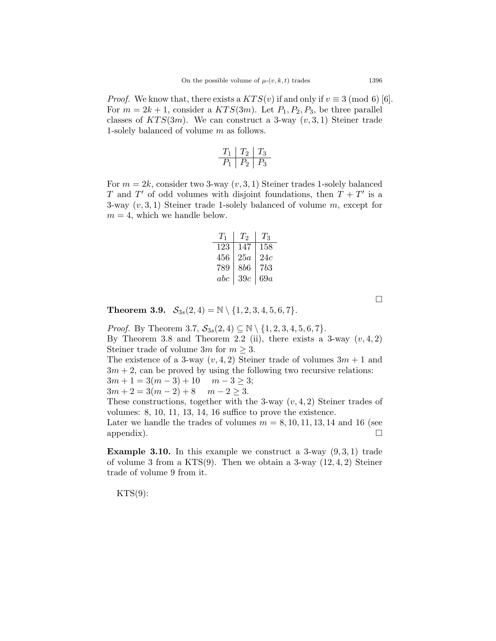*Proof.* We know that, there exists a  $KTS(v)$  if and only if  $v \equiv 3 \pmod{6}$  $v \equiv 3 \pmod{6}$  $v \equiv 3 \pmod{6}$  [6]. For  $m = 2k + 1$ , consider a  $KTS(3m)$ . Let  $P_1, P_2, P_3$ , be three parallel classes of  $KTS(3m)$ . We can construct a 3-way  $(v, 3, 1)$  Steiner trade 1-solely balanced of volume *m* as follows.

$$
\begin{array}{c|c|c}\nT_1 & T_2 & T_3 \\
\hline\nP_1 & P_2 & P_3\n\end{array}
$$

For  $m = 2k$ , consider two 3-way  $(v, 3, 1)$  Steiner trades 1-solely balanced *T* and *T ′* of odd volumes with disjoint foundations, then *T* + *T ′* is a 3-way (*v,* 3*,* 1) Steiner trade 1-solely balanced of volume *m*, except for  $m = 4$ , which we handle below.

| $T_{\rm 1}$ | $T_2$ | $T_3$ |
|-------------|-------|-------|
| 123         | 147   | 158   |
| 456         | 25a   | 24c   |
| 789         | 8b6   | 7b3   |
| abc         | 39c   | 69a   |

<span id="page-10-0"></span>**Theorem 3.9.**  $S_{3s}(2,4) = \mathbb{N} \setminus \{1,2,3,4,5,6,7\}.$ 

*Proof.* By Theorem [3.7,](#page-9-0)  $S_{3s}(2,4) \subseteq \mathbb{N} \setminus \{1,2,3,4,5,6,7\}.$ By Theorem [3.8](#page-9-1) and Theorem [2.2](#page-5-0) (ii), there exists a 3-way  $(v, 4, 2)$ Steiner trade of volume  $3m$  for  $m \geq 3$ .

The existence of a 3-way  $(v, 4, 2)$  Steiner trade of volumes  $3m + 1$  and  $3m + 2$ , can be proved by using the following two recursive relations:  $3m + 1 = 3(m - 3) + 10$   $m - 3 \ge 3;$  $3m + 2 = 3(m - 2) + 8$   $m - 2 \ge 3$ .

These constructions, together with the 3-way (*v,* 4*,* 2) Steiner trades of volumes: 8, 10, 11, 13, 14, 16 suffice to prove the existence.

Later we handle the trades of volumes  $m = 8, 10, 11, 13, 14$  and 16 (see appendix).  $\Box$ 

**Example 3.10.** In this example we construct a 3-way  $(9, 3, 1)$  trade of volume 3 from a KTS(9). Then we obtain a 3-way (12*,* 4*,* 2) Steiner trade of volume 9 from it.

 $KTS(9)$ :

□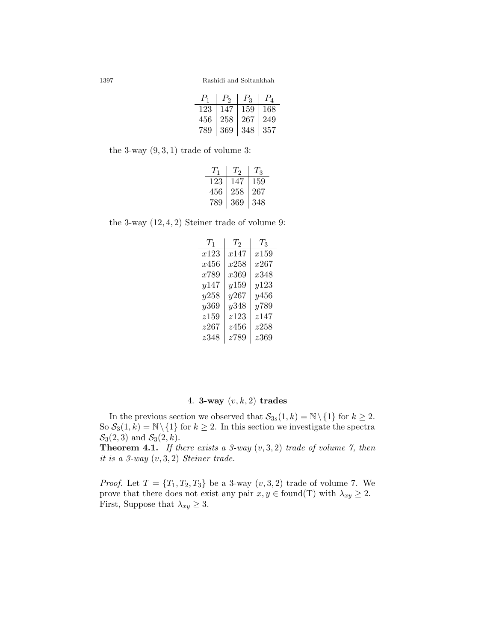1397 Rashidi and Soltankhah

| $P_1$ | $P_2$ | $P_{3}$ | $P_{4}$ |
|-------|-------|---------|---------|
| 123   | 147   | 159     | 168     |
| 456   | 258   | 267     | 249     |
| 789   | -369  | 348     | 357     |

the 3-way  $(9, 3, 1)$  trade of volume 3:

| Ίì  | $T_2$ | $T_3$ |
|-----|-------|-------|
| 123 | 147   | 159   |
| 456 | 258   | 267   |
| 789 | 369   | 348   |

the 3-way  $(12, 4, 2)$  Steiner trade of volume 9:

| $T_{1}$ | $T_2$        | $T_{3}$      |
|---------|--------------|--------------|
| x123    | x147         | x159         |
| x456    | x258         | x267         |
| x789    | x369         | x348         |
| y147    | y159         | y123         |
| y258    | y267         | y456         |
| y369    | y348         | y789         |
| z159    | 2123         | 2147         |
| z267    | 2456         | z258         |
| 2348    | <i>z</i> 789 | <i>z</i> 369 |

# 4. **3-way** (*v, k,* 2) **trades**

In the previous section we observed that  $S_{3s}(1, k) = \mathbb{N} \setminus \{1\}$  for  $k \geq 2$ . So  $S_3(1,k) = \mathbb{N} \setminus \{1\}$  for  $k \geq 2$ . In this section we investigate the spectra  $S_3(2,3)$  and  $S_3(2,k)$ .

<span id="page-11-0"></span>**Theorem 4.1.** *If there exists a 3-way* (*v,* 3*,* 2) *trade of volume 7, then it is a 3-way* (*v,* 3*,* 2) *Steiner trade.*

*Proof.* Let  $T = \{T_1, T_2, T_3\}$  be a 3-way  $(v, 3, 2)$  trade of volume 7. We prove that there does not exist any pair  $x, y \in \text{found}(T)$  with  $\lambda_{xy} \geq 2$ . First, Suppose that  $\lambda_{xy} \geq 3$ .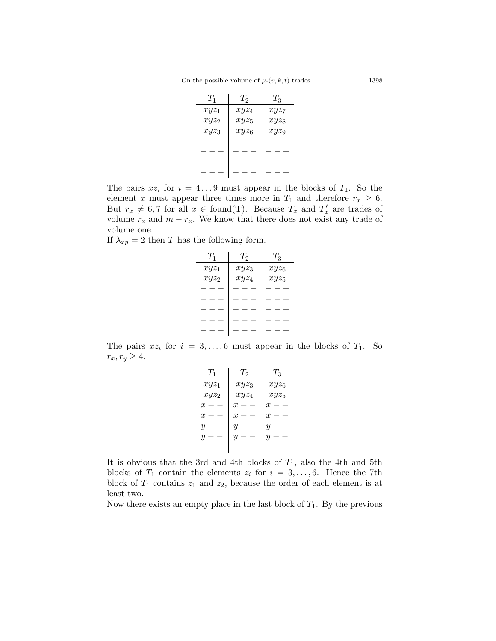| $\scriptstyle T_1$ | $\scriptstyle T_2$ | $\scriptstyle T_3$ |
|--------------------|--------------------|--------------------|
| $xyz_1$            | $xyz_4$            | $xyz_7$            |
| $xyz_2$            | $xyz_5$            | $xyz_8$            |
| $xyz_3$            | $xyz_6$            | $xyz_9$            |
|                    |                    |                    |
|                    |                    |                    |
|                    |                    |                    |
|                    |                    |                    |

The pairs  $xz_i$  for  $i = 4...9$  must appear in the blocks of  $T_1$ . So the element *x* must appear three times more in  $T_1$  and therefore  $r_x \geq 6$ . But  $r_x \neq 6,7$  for all  $x \in$  found(T). Because  $T_x$  and  $T'_x$  are trades of volume  $r_x$  and  $m - r_x$ . We know that there does not exist any trade of volume one.

If  $\lambda_{xy} = 2$  then *T* has the following form.

| $\scriptstyle T_1$ | $\scriptstyle T_2$ | $T_3$   |
|--------------------|--------------------|---------|
| $xyz_1$            | $xyz_3$            | $xyz_6$ |
| $xyz_2$            | $xyz_4$            | $xyz_5$ |
|                    |                    |         |
|                    |                    |         |
|                    |                    |         |
|                    |                    |         |
|                    |                    |         |

The pairs  $xz_i$  for  $i = 3, \ldots, 6$  must appear in the blocks of  $T_1$ . So  $r_x, r_y \geq 4.$ 

| $T_1$            | $\scriptstyle T_2$ | $T_3$            |
|------------------|--------------------|------------------|
| $xyz_1$          | $xyz_3$            | $xyz_6$          |
| $xyz_2$          | $xyz_4$            | $xyz_5$          |
| $x$ -            | $\boldsymbol{x}$   | $\,x\,$          |
| $\boldsymbol{x}$ | $\boldsymbol{x}$   | $\boldsymbol{x}$ |
| Y                | Ч                  | Y                |
| Ч                | Y                  | у                |
|                  |                    |                  |

It is obvious that the 3rd and 4th blocks of *T*1, also the 4th and 5th blocks of  $T_1$  contain the elements  $z_i$  for  $i = 3, \ldots, 6$ . Hence the 7th block of  $T_1$  contains  $z_1$  and  $z_2$ , because the order of each element is at least two.

Now there exists an empty place in the last block of  $T_1$ . By the previous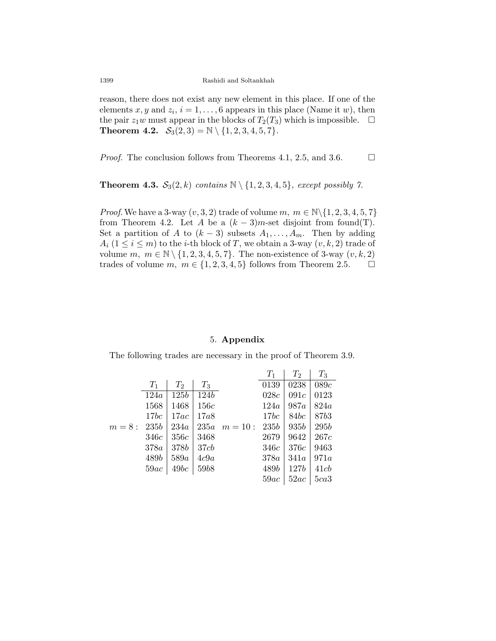<span id="page-13-0"></span>reason, there does not exist any new element in this place. If one of the elements  $x, y$  and  $z_i, i = 1, \ldots, 6$  appears in this place (Name it *w*), then the pair  $z_1w$  must appear in the blocks of  $T_2(T_3)$  which is impossible.  $\Box$ **Theorem 4.2.**  $S_3(2,3) = \mathbb{N} \setminus \{1, 2, 3, 4, 5, 7\}$ *.* 

*Proof.* The conclusion follows from Theorems [4.1,](#page-11-0) [2.5](#page-7-2), and [3.6](#page-8-1).  $\Box$ 

**Theorem 4.3.**  $S_3(2, k)$  *contains*  $\mathbb{N} \setminus \{1, 2, 3, 4, 5\}$ *, except possibly 7.* 

*Proof.* We have a 3-way  $(v, 3, 2)$  trade of volume  $m, m \in \mathbb{N} \setminus \{1, 2, 3, 4, 5, 7\}$ from Theorem [4.2](#page-13-0). Let *A* be a  $(k-3)m$ -set disjoint from found(T). Set a partition of *A* to  $(k-3)$  subsets  $A_1, \ldots, A_m$ . Then by adding  $A_i$  ( $1 \leq i \leq m$ ) to the *i*-th block of *T*, we obtain a 3-way  $(v, k, 2)$  trade of volume  $m, m \in \mathbb{N} \setminus \{1, 2, 3, 4, 5, 7\}$ . The non-existence of 3-way  $(v, k, 2)$ trades of volume  $m, m \in \{1, 2, 3, 4, 5\}$  follows from Theorem [2.5.](#page-7-2)  $\Box$ 

### 5. **Appendix**

The following trades are necessary in the proof of Theorem [3.9](#page-10-0).

|         |             |             |             |                         | $T_1$   | $\, T_{2} \,$ | $T_3$       |
|---------|-------------|-------------|-------------|-------------------------|---------|---------------|-------------|
|         | $T_1$       | $T_2$       | $T_3$       |                         | 0139    | 0238          | 089c        |
|         | 124a        | 125b        | <b>124b</b> |                         | 028c    | 091c          | 0123        |
|         | 1568        | 1468        | 156c        |                         | 124a    | 987a          | 824a        |
|         | 17bc        | 17ac        | 17a8        |                         | 17bc    | 84 <i>bc</i>  | 87b3        |
| $m=8$ : | <b>235b</b> | 234a        |             | $235a \quad m=10: 235b$ |         | <b>935b</b>   | <b>295b</b> |
|         | 346c        | 356c        | 3468        |                         | 2679    | 9642          | 267c        |
|         | 378a        | <b>378b</b> | 37cb        |                         | 346c    | 376c          | 9463        |
|         | 489 $b$     | 589a        | 4c9a        |                         | 378a    | 341a          | 971a        |
|         | 59ac        | 49bc        | 59b8        |                         | 489 $b$ | <i>127b</i>   | 41cb        |
|         |             |             |             |                         | 59ac    | 52ac          | 5ca3        |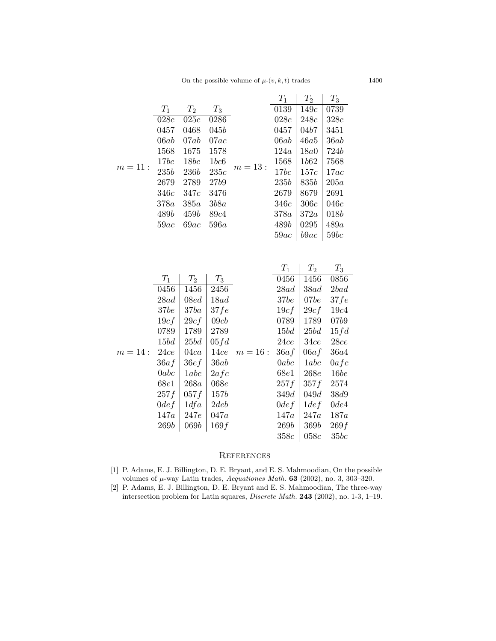|           |         |             |       |           | $T_1$       | $\scriptstyle T_2$ | $T_3$        |
|-----------|---------|-------------|-------|-----------|-------------|--------------------|--------------|
|           | $T_1$   | $T_2$       | $T_3$ |           | 0139        | 149c               | 0739         |
| $m = 11:$ | 028c    | 025c        | 0286  | $m = 13:$ | 028c        | 248c               | 328c         |
|           | 0457    | 0468        | 045b  |           | 0457        | 04b7               | 3451         |
|           | 06ab    | 07ab        | 07ac  |           | 06ab        | 46a5               | 36ab         |
|           | 1568    | 1675        | 1578  |           | 124a        | 18a0               | <b>724b</b>  |
|           | 17bc    | 18bc        | 1bc6  |           | 1568        | 1b62               | 7568         |
|           | 235b    | <b>236b</b> | 235c  |           | 17bc        | 157c               | 17ac         |
|           | 2679    | 2789        | 27b9  |           | <b>235b</b> | 835 $b$            | 205a         |
|           | 346c    | 347c        | 3476  |           | 2679        | 8679               | 2691         |
|           | 378a    | 385a        | 3b8a  |           | 346c        | 306c               | 046c         |
|           | 489 $b$ | 459b        | 89c4  |           | 378a        | 372a               | 018 <i>b</i> |
|           | 59ac    | 69ac        | 596a  |           | 489b        | 0295               | 489a         |
|           |         |             |       |           | 59ac        | b9ac               | 59bc         |
|           |         |             |       |           |             |                    |              |

|           |                  |              |             |           | $T_1$            | $T_2$       | $T_3$     |
|-----------|------------------|--------------|-------------|-----------|------------------|-------------|-----------|
|           | $T_1$            | $T_2$        | $T_3$       |           | 0456             | 1456        | 0856      |
|           | 0456             | 1456         | 2456        |           | 28ad             | 38ad        | 2bad      |
|           | 28ad             | 08ed         | 18ad        |           | 37be             | 07be        | 37fe      |
|           | 37be             | 37ba         | 37fe        |           | 19cf             | 29cf        | 19c4      |
|           | 19cf             | 29cf         | 09cb        |           | 0789             | 1789        | 07b9      |
|           | 0789             | 1789         | 2789        |           | 15bd             | 25bd        | 15fd      |
|           | 15bd             | 25bd         | 05fd        |           | 24ce             | 34ce        | 28ce      |
| $m = 14:$ | 24ce             | 04 <i>ca</i> | 14ce        | $m = 16:$ | 36af             | 06af        | 36a4      |
|           | 36af             | 36ef         | 36ab        |           | 0abc             | 1abc        | $0$ a f c |
|           | 0abc             | 1abc         | 2afc        |           | 68 <i>e</i> 1    | <b>268e</b> | 16be      |
|           | 68e1             | 268a         | 068e        |           | 257f             | 357f        | 2574      |
|           | 257f             | 057f         | <b>157b</b> |           | 349 <i>d</i>     | 049d        | 38d9      |
|           | 0 <sup>def</sup> | $1$ df a     | 2deb        |           | 0 <sup>def</sup> | 1def        | 0de4      |
|           | 147a             | 247e         | 047a        |           | 147a             | 247a        | 187a      |
|           | <b>269b</b>      | 069b         | 169f        |           | <b>269b</b>      | <b>369b</b> | 269f      |
|           |                  |              |             |           | 358c             | 058c        | 35bc      |

## **REFERENCES**

- <span id="page-14-0"></span>[1] P. Adams, E. J. Billington, D. E. Bryant, and E. S. Mahmoodian, On the possible volumes of *µ*-way Latin trades, *Aequationes Math.* **63** (2002), no. 3, 303–320.
- <span id="page-14-1"></span>[2] P. Adams, E. J. Billington, D. E. Bryant and E. S. Mahmoodian, The three-way intersection problem for Latin squares, *Discrete Math.* **243** (2002), no. 1-3, 1–19.